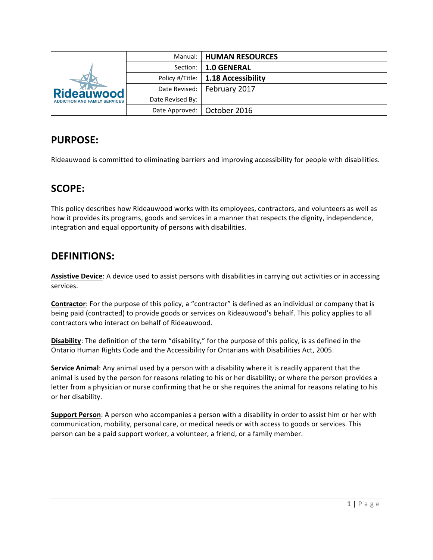| <b>Rideauwood</b><br><b>ADDICTION AND FAMILY SERVICES</b> |                  | Manual:   HUMAN RESOURCES            |
|-----------------------------------------------------------|------------------|--------------------------------------|
|                                                           | Section:         | <b>1.0 GENERAL</b>                   |
|                                                           |                  | Policy #/Title:   1.18 Accessibility |
|                                                           |                  | Date Revised:   February 2017        |
|                                                           | Date Revised By: |                                      |
|                                                           |                  | Date Approved:   October 2016        |

## **PURPOSE:**

Rideauwood is committed to eliminating barriers and improving accessibility for people with disabilities.

## **SCOPE:**

This policy describes how Rideauwood works with its employees, contractors, and volunteers as well as how it provides its programs, goods and services in a manner that respects the dignity, independence, integration and equal opportunity of persons with disabilities.

# **DEFINITIONS:**

Assistive Device: A device used to assist persons with disabilities in carrying out activities or in accessing services.

**Contractor**: For the purpose of this policy, a "contractor" is defined as an individual or company that is being paid (contracted) to provide goods or services on Rideauwood's behalf. This policy applies to all contractors who interact on behalf of Rideauwood.

**Disability**: The definition of the term "disability," for the purpose of this policy, is as defined in the Ontario Human Rights Code and the Accessibility for Ontarians with Disabilities Act, 2005.

**Service Animal:** Any animal used by a person with a disability where it is readily apparent that the animal is used by the person for reasons relating to his or her disability; or where the person provides a letter from a physician or nurse confirming that he or she requires the animal for reasons relating to his or her disability.

**Support Person**: A person who accompanies a person with a disability in order to assist him or her with communication, mobility, personal care, or medical needs or with access to goods or services. This person can be a paid support worker, a volunteer, a friend, or a family member.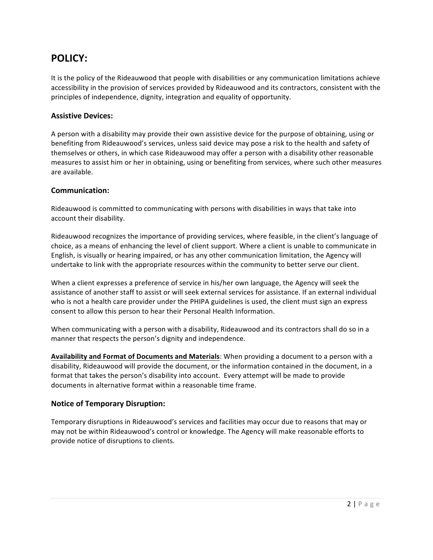## **POLICY:**

It is the policy of the Rideauwood that people with disabilities or any communication limitations achieve accessibility in the provision of services provided by Rideauwood and its contractors, consistent with the principles of independence, dignity, integration and equality of opportunity.

## **Assistive Devices:**

A person with a disability may provide their own assistive device for the purpose of obtaining, using or benefiting from Rideauwood's services, unless said device may pose a risk to the health and safety of themselves or others, in which case Rideauwood may offer a person with a disability other reasonable measures to assist him or her in obtaining, using or benefiting from services, where such other measures are available.

## **Communication:**

Rideauwood is committed to communicating with persons with disabilities in ways that take into account their disability.

Rideauwood recognizes the importance of providing services, where feasible, in the client's language of choice, as a means of enhancing the level of client support. Where a client is unable to communicate in English, is visually or hearing impaired, or has any other communication limitation, the Agency will undertake to link with the appropriate resources within the community to better serve our client.

When a client expresses a preference of service in his/her own language, the Agency will seek the assistance of another staff to assist or will seek external services for assistance. If an external individual who is not a health care provider under the PHIPA guidelines is used, the client must sign an express consent to allow this person to hear their Personal Health Information.

When communicating with a person with a disability, Rideauwood and its contractors shall do so in a manner that respects the person's dignity and independence.

**Availability and Format of Documents and Materials**: When providing a document to a person with a disability, Rideauwood will provide the document, or the information contained in the document, in a format that takes the person's disability into account. Every attempt will be made to provide documents in alternative format within a reasonable time frame.

### **Notice of Temporary Disruption:**

Temporary disruptions in Rideauwood's services and facilities may occur due to reasons that may or may not be within Rideauwood's control or knowledge. The Agency will make reasonable efforts to provide notice of disruptions to clients.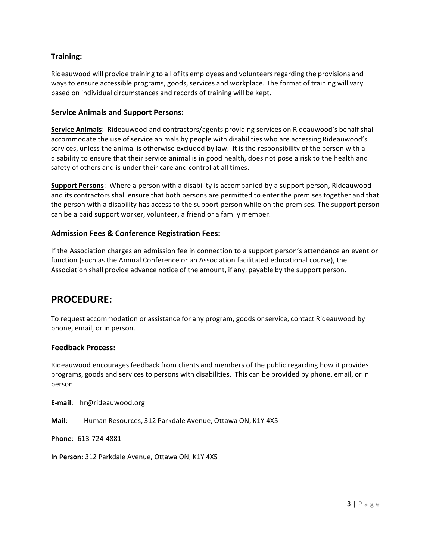## **Training:**

Rideauwood will provide training to all of its employees and volunteers regarding the provisions and ways to ensure accessible programs, goods, services and workplace. The format of training will vary based on individual circumstances and records of training will be kept.

### **Service Animals and Support Persons:**

**Service Animals:** Rideauwood and contractors/agents providing services on Rideauwood's behalf shall accommodate the use of service animals by people with disabilities who are accessing Rideauwood's services, unless the animal is otherwise excluded by law. It is the responsibility of the person with a disability to ensure that their service animal is in good health, does not pose a risk to the health and safety of others and is under their care and control at all times.

**Support Persons**: Where a person with a disability is accompanied by a support person, Rideauwood and its contractors shall ensure that both persons are permitted to enter the premises together and that the person with a disability has access to the support person while on the premises. The support person can be a paid support worker, volunteer, a friend or a family member.

## **Admission Fees & Conference Registration Fees:**

If the Association charges an admission fee in connection to a support person's attendance an event or function (such as the Annual Conference or an Association facilitated educational course), the Association shall provide advance notice of the amount, if any, payable by the support person.

## **PROCEDURE:**

To request accommodation or assistance for any program, goods or service, contact Rideauwood by phone, email, or in person.

### **Feedback Process:**

Rideauwood encourages feedback from clients and members of the public regarding how it provides programs, goods and services to persons with disabilities. This can be provided by phone, email, or in person. 

**E-mail**: hr@rideauwood.org

**Mail**: Human Resources, 312 Parkdale Avenue, Ottawa ON, K1Y 4X5

**Phone**: 613-724-4881 

**In Person:** 312 Parkdale Avenue, Ottawa ON, K1Y 4X5